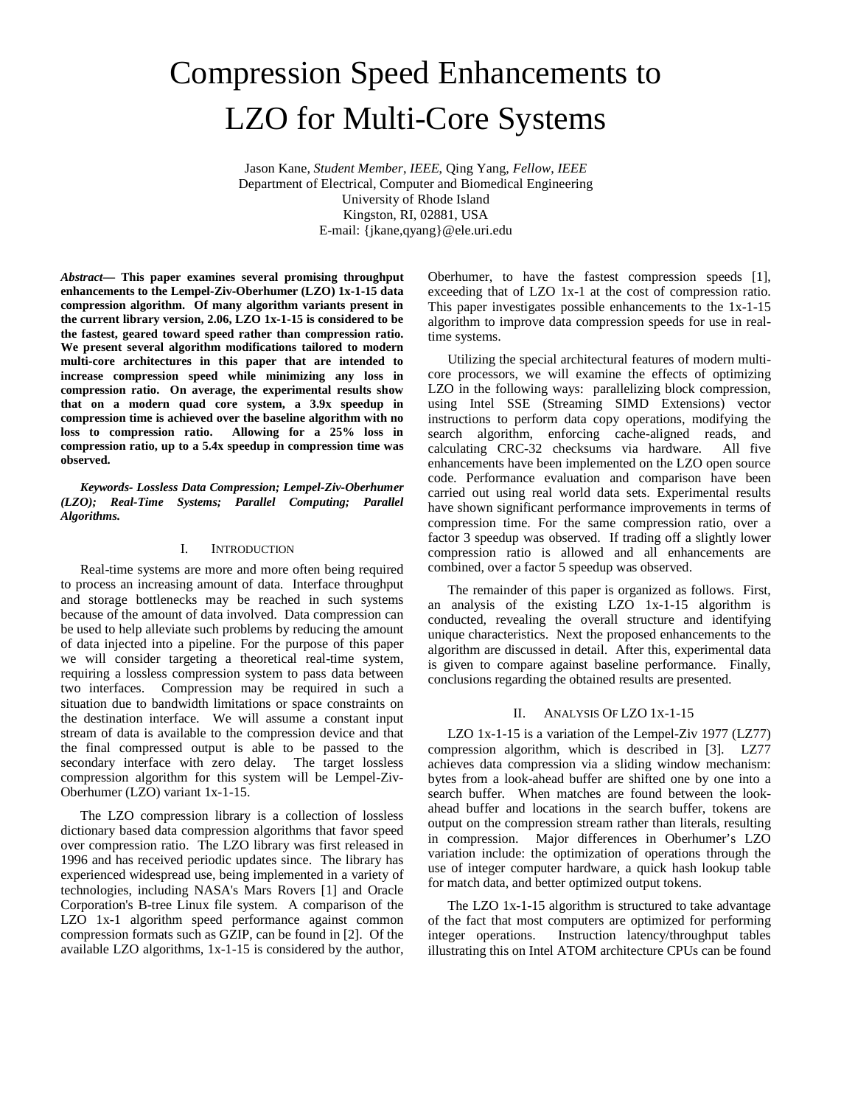# Compression Speed Enhancements to LZO for Multi-Core Systems

Jason Kane, *Student Member*, *IEEE*, Qing Yang, *Fellow*, *IEEE* Department of Electrical, Computer and Biomedical Engineering University of Rhode Island Kingston, RI, 02881, USA E-mail: {jkane,qyang}@ele.uri.edu

*Abstract***— This paper examines several promising throughput enhancements to the Lempel-Ziv-Oberhumer (LZO) 1x-1-15 data compression algorithm. Of many algorithm variants present in the current library version, 2.06, LZO 1x-1-15 is considered to be the fastest, geared toward speed rather than compression ratio. We present several algorithm modifications tailored to modern multi-core architectures in this paper that are intended to increase compression speed while minimizing any loss in compression ratio. On average, the experimental results show that on a modern quad core system, a 3.9x speedup in compression time is achieved over the baseline algorithm with no loss to compression ratio. Allowing for a 25% loss in compression ratio, up to a 5.4x speedup in compression time was observed.** 

*Keywords- Lossless Data Compression; Lempel-Ziv-Oberhumer (LZO); Real-Time Systems; Parallel Computing; Parallel Algorithms.* 

### I. INTRODUCTION

Real-time systems are more and more often being required to process an increasing amount of data. Interface throughput and storage bottlenecks may be reached in such systems because of the amount of data involved. Data compression can be used to help alleviate such problems by reducing the amount of data injected into a pipeline. For the purpose of this paper we will consider targeting a theoretical real-time system, requiring a lossless compression system to pass data between two interfaces. Compression may be required in such a situation due to bandwidth limitations or space constraints on the destination interface. We will assume a constant input stream of data is available to the compression device and that the final compressed output is able to be passed to the secondary interface with zero delay. The target lossless compression algorithm for this system will be Lempel-Ziv-Oberhumer (LZO) variant 1x-1-15.

The LZO compression library is a collection of lossless dictionary based data compression algorithms that favor speed over compression ratio. The LZO library was first released in 1996 and has received periodic updates since. The library has experienced widespread use, being implemented in a variety of technologies, including NASA's Mars Rovers [1] and Oracle Corporation's B-tree Linux file system. A comparison of the LZO 1x-1 algorithm speed performance against common compression formats such as GZIP, can be found in [2]. Of the available LZO algorithms, 1x-1-15 is considered by the author,

Oberhumer, to have the fastest compression speeds [1], exceeding that of LZO 1x-1 at the cost of compression ratio. This paper investigates possible enhancements to the 1x-1-15 algorithm to improve data compression speeds for use in realtime systems.

Utilizing the special architectural features of modern multicore processors, we will examine the effects of optimizing LZO in the following ways: parallelizing block compression, using Intel SSE (Streaming SIMD Extensions) vector instructions to perform data copy operations, modifying the search algorithm, enforcing cache-aligned reads, and calculating CRC-32 checksums via hardware. All five enhancements have been implemented on the LZO open source code. Performance evaluation and comparison have been carried out using real world data sets. Experimental results have shown significant performance improvements in terms of compression time. For the same compression ratio, over a factor 3 speedup was observed. If trading off a slightly lower compression ratio is allowed and all enhancements are combined, over a factor 5 speedup was observed.

The remainder of this paper is organized as follows. First, an analysis of the existing LZO 1x-1-15 algorithm is conducted, revealing the overall structure and identifying unique characteristics. Next the proposed enhancements to the algorithm are discussed in detail. After this, experimental data is given to compare against baseline performance. Finally, conclusions regarding the obtained results are presented.

#### II. ANALYSIS OF LZO 1X-1-15

LZO 1x-1-15 is a variation of the Lempel-Ziv 1977 (LZ77) compression algorithm, which is described in [3]. LZ77 achieves data compression via a sliding window mechanism: bytes from a look-ahead buffer are shifted one by one into a search buffer. When matches are found between the lookahead buffer and locations in the search buffer, tokens are output on the compression stream rather than literals, resulting in compression. Major differences in Oberhumer's LZO variation include: the optimization of operations through the use of integer computer hardware, a quick hash lookup table for match data, and better optimized output tokens.

The LZO 1x-1-15 algorithm is structured to take advantage of the fact that most computers are optimized for performing integer operations. Instruction latency/throughput tables illustrating this on Intel ATOM architecture CPUs can be found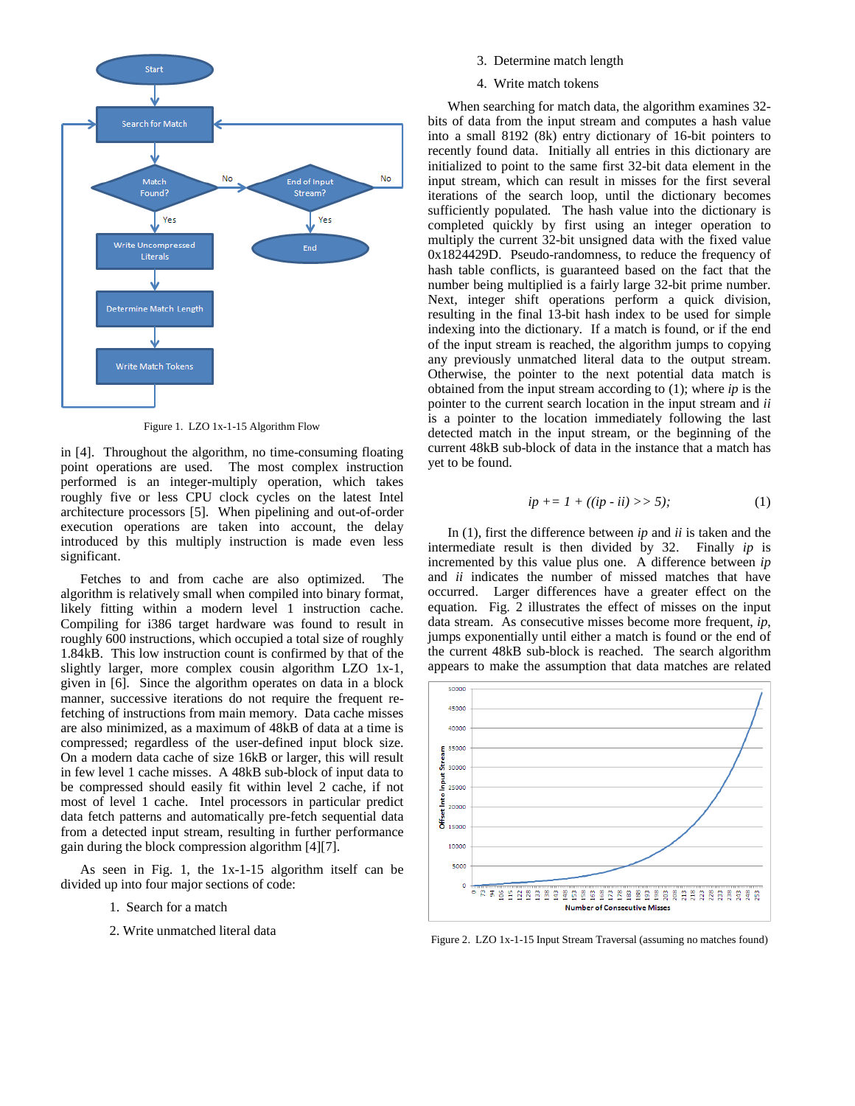

Figure 1. LZO 1x-1-15 Algorithm Flow

in [4]. Throughout the algorithm, no time-consuming floating point operations are used. The most complex instruction performed is an integer-multiply operation, which takes roughly five or less CPU clock cycles on the latest Intel architecture processors [5]. When pipelining and out-of-order execution operations are taken into account, the delay introduced by this multiply instruction is made even less significant.

Fetches to and from cache are also optimized. The algorithm is relatively small when compiled into binary format, likely fitting within a modern level 1 instruction cache. Compiling for i386 target hardware was found to result in roughly 600 instructions, which occupied a total size of roughly 1.84kB. This low instruction count is confirmed by that of the slightly larger, more complex cousin algorithm LZO 1x-1, given in [6]. Since the algorithm operates on data in a block manner, successive iterations do not require the frequent refetching of instructions from main memory. Data cache misses are also minimized, as a maximum of 48kB of data at a time is compressed; regardless of the user-defined input block size. On a modern data cache of size 16kB or larger, this will result in few level 1 cache misses. A 48kB sub-block of input data to be compressed should easily fit within level 2 cache, if not most of level 1 cache. Intel processors in particular predict data fetch patterns and automatically pre-fetch sequential data from a detected input stream, resulting in further performance gain during the block compression algorithm [4][7].

As seen in Fig. 1, the 1x-1-15 algorithm itself can be divided up into four major sections of code:

- 1. Search for a match
- 2. Write unmatched literal data

3. Determine match length

#### 4. Write match tokens

When searching for match data, the algorithm examines 32 bits of data from the input stream and computes a hash value into a small 8192 (8k) entry dictionary of 16-bit pointers to recently found data. Initially all entries in this dictionary are initialized to point to the same first 32-bit data element in the input stream, which can result in misses for the first several iterations of the search loop, until the dictionary becomes sufficiently populated. The hash value into the dictionary is completed quickly by first using an integer operation to multiply the current 32-bit unsigned data with the fixed value 0x1824429D. Pseudo-randomness, to reduce the frequency of hash table conflicts, is guaranteed based on the fact that the number being multiplied is a fairly large 32-bit prime number. Next, integer shift operations perform a quick division, resulting in the final 13-bit hash index to be used for simple indexing into the dictionary. If a match is found, or if the end of the input stream is reached, the algorithm jumps to copying any previously unmatched literal data to the output stream. Otherwise, the pointer to the next potential data match is obtained from the input stream according to (1); where *ip* is the pointer to the current search location in the input stream and *ii* is a pointer to the location immediately following the last detected match in the input stream, or the beginning of the current 48kB sub-block of data in the instance that a match has yet to be found.

$$
ip += 1 + ((ip - ii) >> 5); \tag{1}
$$

In (1), first the difference between *ip* and *ii* is taken and the intermediate result is then divided by 32. Finally *ip* is incremented by this value plus one. A difference between *ip* and *ii* indicates the number of missed matches that have occurred. Larger differences have a greater effect on the equation. Fig. 2 illustrates the effect of misses on the input data stream. As consecutive misses become more frequent, *ip*, jumps exponentially until either a match is found or the end of the current 48kB sub-block is reached. The search algorithm appears to make the assumption that data matches are related



Figure 2. LZO 1x-1-15 Input Stream Traversal (assuming no matches found)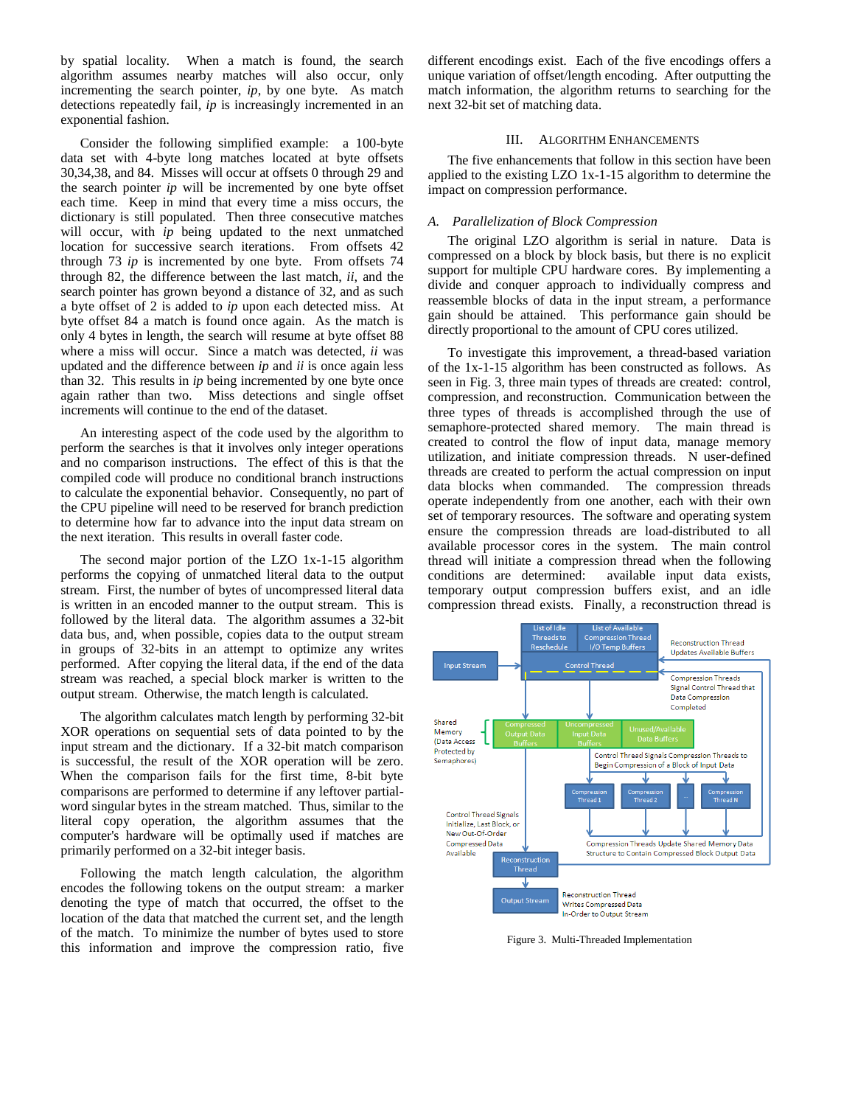by spatial locality. When a match is found, the search algorithm assumes nearby matches will also occur, only incrementing the search pointer, *ip*, by one byte. As match detections repeatedly fail, *ip* is increasingly incremented in an exponential fashion.

Consider the following simplified example: a 100-byte data set with 4-byte long matches located at byte offsets 30,34,38, and 84. Misses will occur at offsets 0 through 29 and the search pointer *ip* will be incremented by one byte offset each time. Keep in mind that every time a miss occurs, the dictionary is still populated. Then three consecutive matches will occur, with *ip* being updated to the next unmatched location for successive search iterations. From offsets 42 through 73 *ip* is incremented by one byte. From offsets 74 through 82, the difference between the last match, *ii*, and the search pointer has grown beyond a distance of 32, and as such a byte offset of 2 is added to *ip* upon each detected miss. At byte offset 84 a match is found once again. As the match is only 4 bytes in length, the search will resume at byte offset 88 where a miss will occur. Since a match was detected, *ii* was updated and the difference between *ip* and *ii* is once again less than 32. This results in *ip* being incremented by one byte once again rather than two. Miss detections and single offset increments will continue to the end of the dataset.

An interesting aspect of the code used by the algorithm to perform the searches is that it involves only integer operations and no comparison instructions. The effect of this is that the compiled code will produce no conditional branch instructions to calculate the exponential behavior. Consequently, no part of the CPU pipeline will need to be reserved for branch prediction to determine how far to advance into the input data stream on the next iteration. This results in overall faster code.

The second major portion of the LZO 1x-1-15 algorithm performs the copying of unmatched literal data to the output stream. First, the number of bytes of uncompressed literal data is written in an encoded manner to the output stream. This is followed by the literal data. The algorithm assumes a 32-bit data bus, and, when possible, copies data to the output stream in groups of 32-bits in an attempt to optimize any writes performed. After copying the literal data, if the end of the data stream was reached, a special block marker is written to the output stream. Otherwise, the match length is calculated.

The algorithm calculates match length by performing 32-bit XOR operations on sequential sets of data pointed to by the input stream and the dictionary. If a 32-bit match comparison is successful, the result of the XOR operation will be zero. When the comparison fails for the first time, 8-bit byte comparisons are performed to determine if any leftover partialword singular bytes in the stream matched. Thus, similar to the literal copy operation, the algorithm assumes that the computer's hardware will be optimally used if matches are primarily performed on a 32-bit integer basis.

Following the match length calculation, the algorithm encodes the following tokens on the output stream: a marker denoting the type of match that occurred, the offset to the location of the data that matched the current set, and the length of the match. To minimize the number of bytes used to store this information and improve the compression ratio, five

different encodings exist. Each of the five encodings offers a unique variation of offset/length encoding. After outputting the match information, the algorithm returns to searching for the next 32-bit set of matching data.

## III. ALGORITHM ENHANCEMENTS

The five enhancements that follow in this section have been applied to the existing LZO 1x-1-15 algorithm to determine the impact on compression performance.

## *A. Parallelization of Block Compression*

The original LZO algorithm is serial in nature. Data is compressed on a block by block basis, but there is no explicit support for multiple CPU hardware cores. By implementing a divide and conquer approach to individually compress and reassemble blocks of data in the input stream, a performance gain should be attained. This performance gain should be directly proportional to the amount of CPU cores utilized.

To investigate this improvement, a thread-based variation of the 1x-1-15 algorithm has been constructed as follows. As seen in Fig. 3, three main types of threads are created: control, compression, and reconstruction. Communication between the three types of threads is accomplished through the use of semaphore-protected shared memory. The main thread is created to control the flow of input data, manage memory utilization, and initiate compression threads. N user-defined threads are created to perform the actual compression on input data blocks when commanded. The compression threads operate independently from one another, each with their own set of temporary resources. The software and operating system ensure the compression threads are load-distributed to all available processor cores in the system. The main control thread will initiate a compression thread when the following conditions are determined: available input data exists, available input data exists, temporary output compression buffers exist, and an idle compression thread exists. Finally, a reconstruction thread is



Figure 3. Multi-Threaded Implementation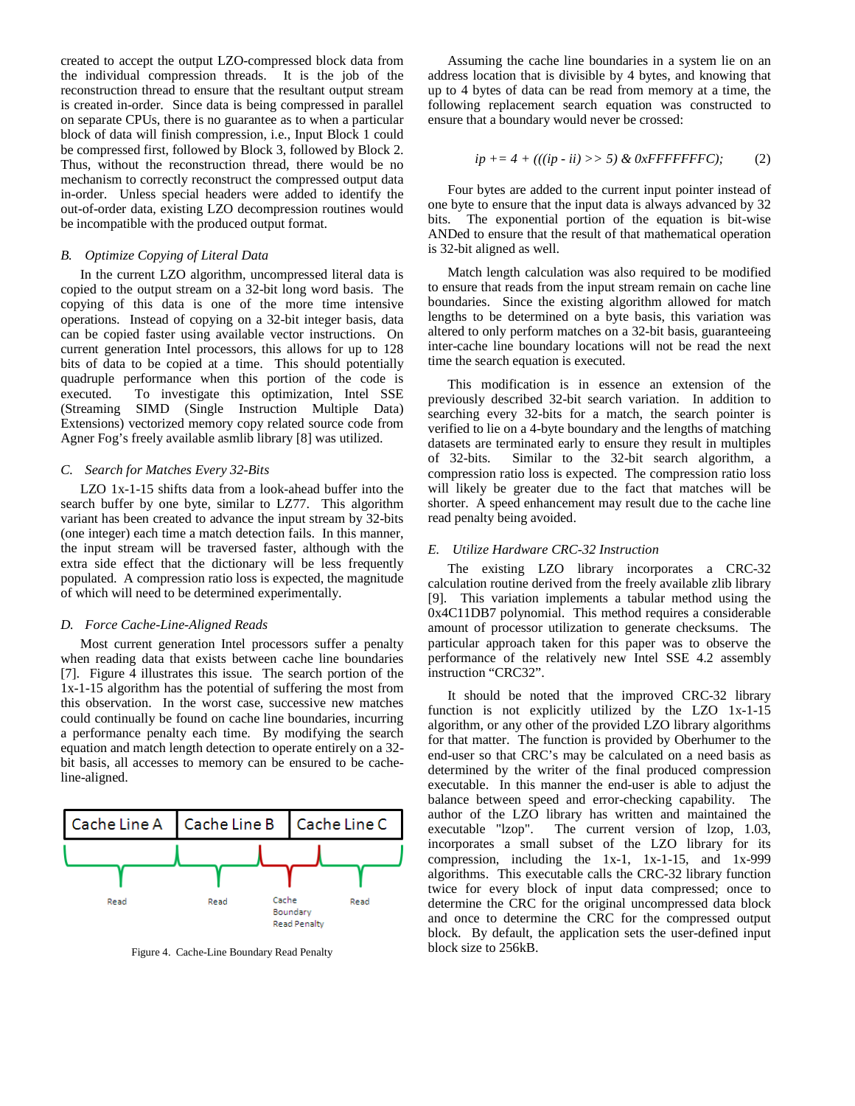created to accept the output LZO-compressed block data from the individual compression threads. It is the job of the reconstruction thread to ensure that the resultant output stream is created in-order. Since data is being compressed in parallel on separate CPUs, there is no guarantee as to when a particular block of data will finish compression, i.e., Input Block 1 could be compressed first, followed by Block 3, followed by Block 2. Thus, without the reconstruction thread, there would be no mechanism to correctly reconstruct the compressed output data in-order. Unless special headers were added to identify the out-of-order data, existing LZO decompression routines would be incompatible with the produced output format.

## *B. Optimize Copying of Literal Data*

In the current LZO algorithm, uncompressed literal data is copied to the output stream on a 32-bit long word basis. The copying of this data is one of the more time intensive operations. Instead of copying on a 32-bit integer basis, data can be copied faster using available vector instructions. On current generation Intel processors, this allows for up to 128 bits of data to be copied at a time. This should potentially quadruple performance when this portion of the code is executed. To investigate this optimization, Intel SSE (Streaming SIMD (Single Instruction Multiple Data) Extensions) vectorized memory copy related source code from Agner Fog's freely available asmlib library [8] was utilized.

## *C. Search for Matches Every 32-Bits*

LZO 1x-1-15 shifts data from a look-ahead buffer into the search buffer by one byte, similar to LZ77. This algorithm variant has been created to advance the input stream by 32-bits (one integer) each time a match detection fails. In this manner, the input stream will be traversed faster, although with the extra side effect that the dictionary will be less frequently populated. A compression ratio loss is expected, the magnitude of which will need to be determined experimentally.

### *D. Force Cache-Line-Aligned Reads*

Most current generation Intel processors suffer a penalty when reading data that exists between cache line boundaries [7]. Figure 4 illustrates this issue. The search portion of the 1x-1-15 algorithm has the potential of suffering the most from this observation. In the worst case, successive new matches could continually be found on cache line boundaries, incurring a performance penalty each time. By modifying the search equation and match length detection to operate entirely on a 32 bit basis, all accesses to memory can be ensured to be cacheline-aligned.



Figure 4. Cache-Line Boundary Read Penalty

Assuming the cache line boundaries in a system lie on an address location that is divisible by 4 bytes, and knowing that up to 4 bytes of data can be read from memory at a time, the following replacement search equation was constructed to ensure that a boundary would never be crossed:

$$
ip += 4 + (((ip - ii) >> 5) & 0 \, x \, F \, F \, F \, F \, F \, C); \tag{2}
$$

Four bytes are added to the current input pointer instead of one byte to ensure that the input data is always advanced by 32 bits. The exponential portion of the equation is bit-wise ANDed to ensure that the result of that mathematical operation is 32-bit aligned as well.

Match length calculation was also required to be modified to ensure that reads from the input stream remain on cache line boundaries. Since the existing algorithm allowed for match lengths to be determined on a byte basis, this variation was altered to only perform matches on a 32-bit basis, guaranteeing inter-cache line boundary locations will not be read the next time the search equation is executed.

This modification is in essence an extension of the previously described 32-bit search variation. In addition to searching every 32-bits for a match, the search pointer is verified to lie on a 4-byte boundary and the lengths of matching datasets are terminated early to ensure they result in multiples of 32-bits. Similar to the 32-bit search algorithm, a compression ratio loss is expected. The compression ratio loss will likely be greater due to the fact that matches will be shorter. A speed enhancement may result due to the cache line read penalty being avoided.

## *E. Utilize Hardware CRC-32 Instruction*

The existing LZO library incorporates a CRC-32 calculation routine derived from the freely available zlib library [9]. This variation implements a tabular method using the 0x4C11DB7 polynomial. This method requires a considerable amount of processor utilization to generate checksums. The particular approach taken for this paper was to observe the performance of the relatively new Intel SSE 4.2 assembly instruction "CRC32".

It should be noted that the improved CRC-32 library function is not explicitly utilized by the LZO 1x-1-15 algorithm, or any other of the provided LZO library algorithms for that matter. The function is provided by Oberhumer to the end-user so that CRC's may be calculated on a need basis as determined by the writer of the final produced compression executable. In this manner the end-user is able to adjust the balance between speed and error-checking capability. The author of the LZO library has written and maintained the executable "lzop". The current version of lzop, 1.03, incorporates a small subset of the LZO library for its compression, including the 1x-1, 1x-1-15, and 1x-999 algorithms. This executable calls the CRC-32 library function twice for every block of input data compressed; once to determine the CRC for the original uncompressed data block and once to determine the CRC for the compressed output block. By default, the application sets the user-defined input block size to 256kB.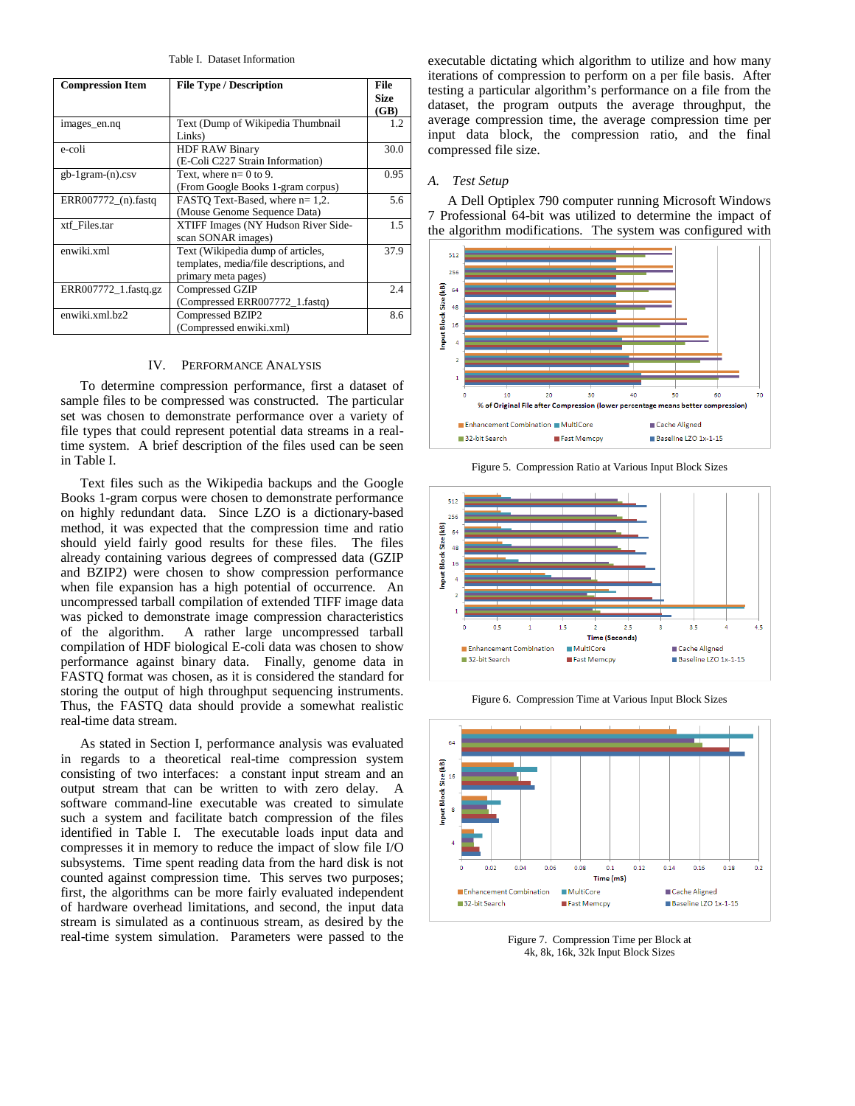Table I. Dataset Information

| <b>Compression Item</b> | <b>File Type / Description</b>                                                                      | File<br><b>Size</b><br>(GB) |
|-------------------------|-----------------------------------------------------------------------------------------------------|-----------------------------|
| images_en.nq            | Text (Dump of Wikipedia Thumbnail<br>Links)                                                         | 1.2                         |
| e-coli                  | <b>HDF RAW Binary</b><br>(E-Coli C227 Strain Information)                                           | 30.0                        |
| $gb-1gram-(n).csv$      | Text, where $n=0$ to 9.<br>(From Google Books 1-gram corpus)                                        | 0.95                        |
| ERR007772_(n).fastq     | FASTO Text-Based, where n= 1,2.<br>(Mouse Genome Sequence Data)                                     | 5.6                         |
| xtf Files.tar           | XTIFF Images (NY Hudson River Side-<br>scan SONAR images)                                           | 1.5                         |
| enwiki.xml              | Text (Wikipedia dump of articles,<br>templates, media/file descriptions, and<br>primary meta pages) | 37.9                        |
| ERR007772_1.fastq.gz    | Compressed GZIP<br>(Compressed ERR007772 1.fastq)                                                   | 2.4                         |
| enwiki.xml.bz2          | Compressed BZIP2<br>(Compressed enwiki.xml)                                                         | 8.6                         |

#### IV. PERFORMANCE ANALYSIS

To determine compression performance, first a dataset of sample files to be compressed was constructed. The particular set was chosen to demonstrate performance over a variety of file types that could represent potential data streams in a realtime system. A brief description of the files used can be seen in Table I.

Text files such as the Wikipedia backups and the Google Books 1-gram corpus were chosen to demonstrate performance on highly redundant data. Since LZO is a dictionary-based method, it was expected that the compression time and ratio should yield fairly good results for these files. The files already containing various degrees of compressed data (GZIP and BZIP2) were chosen to show compression performance when file expansion has a high potential of occurrence. An uncompressed tarball compilation of extended TIFF image data was picked to demonstrate image compression characteristics of the algorithm. A rather large uncompressed tarball compilation of HDF biological E-coli data was chosen to show performance against binary data. Finally, genome data in FASTQ format was chosen, as it is considered the standard for storing the output of high throughput sequencing instruments. Thus, the FASTQ data should provide a somewhat realistic real-time data stream.

As stated in Section I, performance analysis was evaluated in regards to a theoretical real-time compression system consisting of two interfaces: a constant input stream and an output stream that can be written to with zero delay. A software command-line executable was created to simulate such a system and facilitate batch compression of the files identified in Table I. The executable loads input data and compresses it in memory to reduce the impact of slow file I/O subsystems. Time spent reading data from the hard disk is not counted against compression time. This serves two purposes; first, the algorithms can be more fairly evaluated independent of hardware overhead limitations, and second, the input data stream is simulated as a continuous stream, as desired by the real-time system simulation. Parameters were passed to the

executable dictating which algorithm to utilize and how many iterations of compression to perform on a per file basis. After testing a particular algorithm's performance on a file from the dataset, the program outputs the average throughput, the average compression time, the average compression time per input data block, the compression ratio, and the final compressed file size.

#### *A. Test Setup*

A Dell Optiplex 790 computer running Microsoft Windows 7 Professional 64-bit was utilized to determine the impact of the algorithm modifications. The system was configured with



Figure 5. Compression Ratio at Various Input Block Sizes



Figure 6. Compression Time at Various Input Block Sizes



Figure 7. Compression Time per Block at 4k, 8k, 16k, 32k Input Block Sizes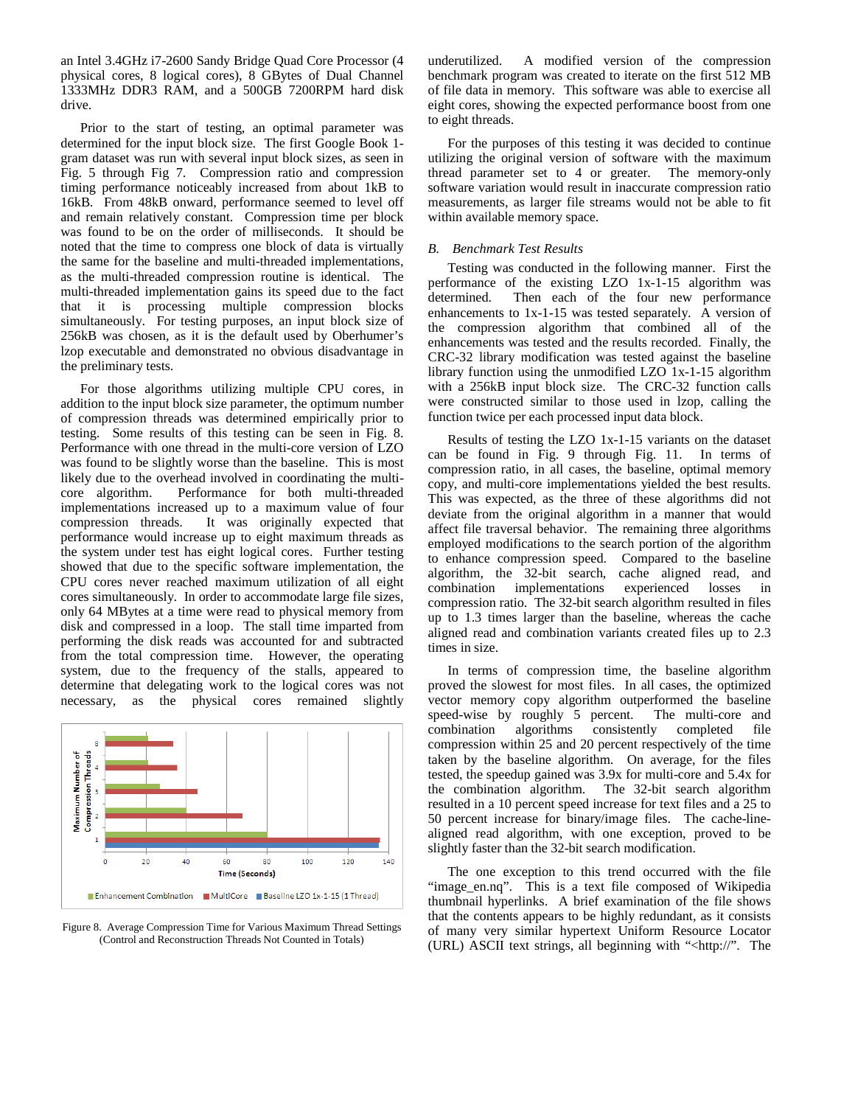an Intel 3.4GHz i7-2600 Sandy Bridge Quad Core Processor (4 physical cores, 8 logical cores), 8 GBytes of Dual Channel 1333MHz DDR3 RAM, and a 500GB 7200RPM hard disk drive.

Prior to the start of testing, an optimal parameter was determined for the input block size. The first Google Book 1 gram dataset was run with several input block sizes, as seen in Fig. 5 through Fig 7. Compression ratio and compression timing performance noticeably increased from about 1kB to 16kB. From 48kB onward, performance seemed to level off and remain relatively constant. Compression time per block was found to be on the order of milliseconds. It should be noted that the time to compress one block of data is virtually the same for the baseline and multi-threaded implementations, as the multi-threaded compression routine is identical. The multi-threaded implementation gains its speed due to the fact that it is processing multiple compression blocks simultaneously. For testing purposes, an input block size of 256kB was chosen, as it is the default used by Oberhumer's lzop executable and demonstrated no obvious disadvantage in the preliminary tests.

For those algorithms utilizing multiple CPU cores, in addition to the input block size parameter, the optimum number of compression threads was determined empirically prior to testing. Some results of this testing can be seen in Fig. 8. Performance with one thread in the multi-core version of LZO was found to be slightly worse than the baseline. This is most likely due to the overhead involved in coordinating the multicore algorithm. Performance for both multi-threaded implementations increased up to a maximum value of four compression threads. It was originally expected that performance would increase up to eight maximum threads as the system under test has eight logical cores. Further testing showed that due to the specific software implementation, the CPU cores never reached maximum utilization of all eight cores simultaneously. In order to accommodate large file sizes, only 64 MBytes at a time were read to physical memory from disk and compressed in a loop. The stall time imparted from performing the disk reads was accounted for and subtracted from the total compression time. However, the operating system, due to the frequency of the stalls, appeared to determine that delegating work to the logical cores was not necessary, as the physical cores remained slightly



Figure 8. Average Compression Time for Various Maximum Thread Settings (Control and Reconstruction Threads Not Counted in Totals)

underutilized. A modified version of the compression benchmark program was created to iterate on the first 512 MB of file data in memory. This software was able to exercise all eight cores, showing the expected performance boost from one to eight threads.

For the purposes of this testing it was decided to continue utilizing the original version of software with the maximum thread parameter set to 4 or greater. The memory-only software variation would result in inaccurate compression ratio measurements, as larger file streams would not be able to fit within available memory space.

## *B. Benchmark Test Results*

Testing was conducted in the following manner. First the performance of the existing LZO 1x-1-15 algorithm was determined. Then each of the four new performance enhancements to 1x-1-15 was tested separately. A version of the compression algorithm that combined all of the enhancements was tested and the results recorded. Finally, the CRC-32 library modification was tested against the baseline library function using the unmodified LZO 1x-1-15 algorithm with a 256kB input block size. The CRC-32 function calls were constructed similar to those used in lzop, calling the function twice per each processed input data block.

Results of testing the LZO 1x-1-15 variants on the dataset can be found in Fig. 9 through Fig. 11. In terms of compression ratio, in all cases, the baseline, optimal memory copy, and multi-core implementations yielded the best results. This was expected, as the three of these algorithms did not deviate from the original algorithm in a manner that would affect file traversal behavior. The remaining three algorithms employed modifications to the search portion of the algorithm to enhance compression speed. Compared to the baseline algorithm, the 32-bit search, cache aligned read, and combination implementations experienced losses in combination implementations experienced losses in compression ratio. The 32-bit search algorithm resulted in files up to 1.3 times larger than the baseline, whereas the cache aligned read and combination variants created files up to 2.3 times in size.

In terms of compression time, the baseline algorithm proved the slowest for most files. In all cases, the optimized vector memory copy algorithm outperformed the baseline speed-wise by roughly 5 percent. The multi-core and combination algorithms consistently completed file compression within 25 and 20 percent respectively of the time taken by the baseline algorithm. On average, for the files tested, the speedup gained was 3.9x for multi-core and 5.4x for the combination algorithm. The 32-bit search algorithm resulted in a 10 percent speed increase for text files and a 25 to 50 percent increase for binary/image files. The cache-linealigned read algorithm, with one exception, proved to be slightly faster than the 32-bit search modification.

The one exception to this trend occurred with the file "image\_en.nq". This is a text file composed of Wikipedia thumbnail hyperlinks. A brief examination of the file shows that the contents appears to be highly redundant, as it consists of many very similar hypertext Uniform Resource Locator (URL) ASCII text strings, all beginning with "<http://". The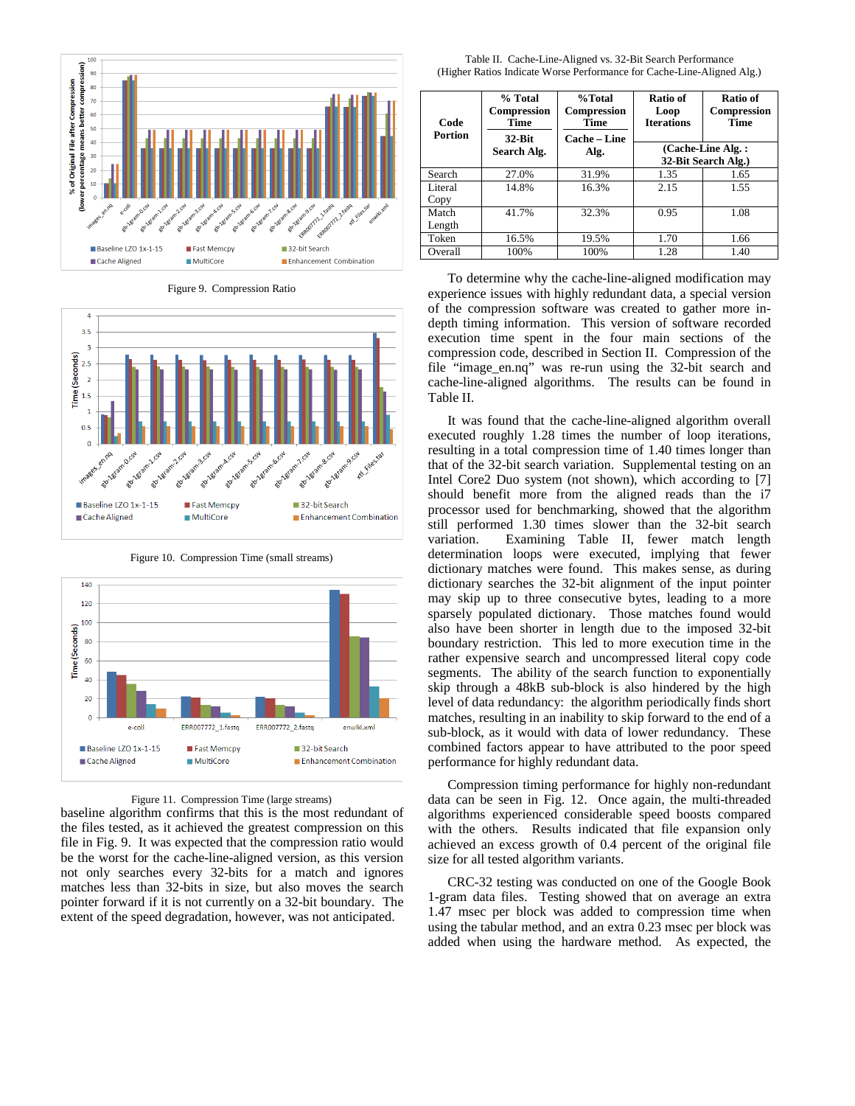

Figure 9. Compression Ratio



Figure 10. Compression Time (small streams)



Figure 11. Compression Time (large streams)

baseline algorithm confirms that this is the most redundant of the files tested, as it achieved the greatest compression on this file in Fig. 9. It was expected that the compression ratio would be the worst for the cache-line-aligned version, as this version not only searches every 32-bits for a match and ignores matches less than 32-bits in size, but also moves the search pointer forward if it is not currently on a 32-bit boundary. The extent of the speed degradation, however, was not anticipated.

Table II. Cache-Line-Aligned vs. 32-Bit Search Performance (Higher Ratios Indicate Worse Performance for Cache-Line-Aligned Alg.)

| Code<br><b>Portion</b> | % Total<br>Compression<br>Time<br><b>32-Bit</b> | %Total<br><b>Compression</b><br>Time<br>Cache – Line | Ratio of<br>Loop<br><b>Iterations</b>    | Ratio of<br><b>Compression</b><br><b>Time</b> |
|------------------------|-------------------------------------------------|------------------------------------------------------|------------------------------------------|-----------------------------------------------|
|                        | Search Alg.                                     | Alg.                                                 | (Cache-Line Alg.:<br>32-Bit Search Alg.) |                                               |
| Search                 | 27.0%                                           | 31.9%                                                | 1.35                                     | 1.65                                          |
| Literal<br>Copy        | 14.8%                                           | 16.3%                                                | 2.15                                     | 1.55                                          |
| Match<br>Length        | 41.7%                                           | 32.3%                                                | 0.95                                     | 1.08                                          |
| Token                  | 16.5%                                           | 19.5%                                                | 1.70                                     | 1.66                                          |
| Overall                | 100%                                            | 100%                                                 | 1.28                                     | 1.40                                          |

To determine why the cache-line-aligned modification may experience issues with highly redundant data, a special version of the compression software was created to gather more indepth timing information. This version of software recorded execution time spent in the four main sections of the compression code, described in Section II. Compression of the file "image\_en.nq" was re-run using the 32-bit search and cache-line-aligned algorithms. The results can be found in Table II.

It was found that the cache-line-aligned algorithm overall executed roughly 1.28 times the number of loop iterations, resulting in a total compression time of 1.40 times longer than that of the 32-bit search variation. Supplemental testing on an Intel Core2 Duo system (not shown), which according to [7] should benefit more from the aligned reads than the i7 processor used for benchmarking, showed that the algorithm still performed 1.30 times slower than the 32-bit search<br>variation. Examining Table II, fewer match length Examining Table II, fewer match length determination loops were executed, implying that fewer dictionary matches were found. This makes sense, as during dictionary searches the 32-bit alignment of the input pointer may skip up to three consecutive bytes, leading to a more sparsely populated dictionary. Those matches found would also have been shorter in length due to the imposed 32-bit boundary restriction. This led to more execution time in the rather expensive search and uncompressed literal copy code segments. The ability of the search function to exponentially skip through a 48kB sub-block is also hindered by the high level of data redundancy: the algorithm periodically finds short matches, resulting in an inability to skip forward to the end of a sub-block, as it would with data of lower redundancy. These combined factors appear to have attributed to the poor speed performance for highly redundant data.

Compression timing performance for highly non-redundant data can be seen in Fig. 12. Once again, the multi-threaded algorithms experienced considerable speed boosts compared with the others. Results indicated that file expansion only achieved an excess growth of 0.4 percent of the original file size for all tested algorithm variants.

CRC-32 testing was conducted on one of the Google Book 1-gram data files. Testing showed that on average an extra 1.47 msec per block was added to compression time when using the tabular method, and an extra 0.23 msec per block was added when using the hardware method. As expected, the